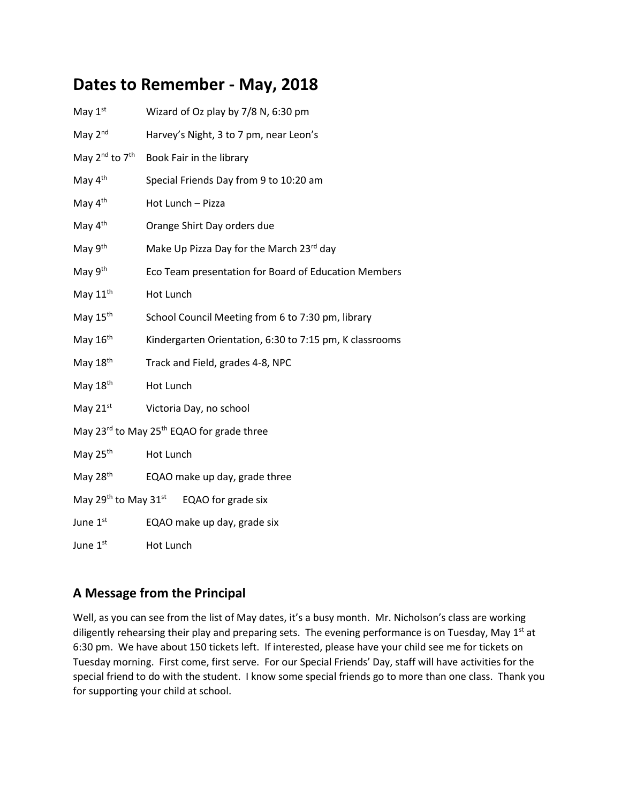## **Dates to Remember - May, 2018**

| May $1st$                                                         | Wizard of Oz play by 7/8 N, 6:30 pm                     |
|-------------------------------------------------------------------|---------------------------------------------------------|
| May $2nd$                                                         | Harvey's Night, 3 to 7 pm, near Leon's                  |
| May 2 <sup>nd</sup> to 7 <sup>th</sup>                            | Book Fair in the library                                |
| May 4 <sup>th</sup>                                               | Special Friends Day from 9 to 10:20 am                  |
| May 4 <sup>th</sup>                                               | Hot Lunch - Pizza                                       |
| May 4 <sup>th</sup>                                               | Orange Shirt Day orders due                             |
| May 9th                                                           | Make Up Pizza Day for the March 23rd day                |
| May 9 <sup>th</sup>                                               | Eco Team presentation for Board of Education Members    |
| May $11th$                                                        | Hot Lunch                                               |
| May 15 <sup>th</sup>                                              | School Council Meeting from 6 to 7:30 pm, library       |
| May $16th$                                                        | Kindergarten Orientation, 6:30 to 7:15 pm, K classrooms |
| May 18 <sup>th</sup>                                              | Track and Field, grades 4-8, NPC                        |
| May $18th$                                                        | Hot Lunch                                               |
| May 21st                                                          | Victoria Day, no school                                 |
| May 23 <sup>rd</sup> to May 25 <sup>th</sup> EQAO for grade three |                                                         |
| May 25 <sup>th</sup>                                              | Hot Lunch                                               |
| May 28 <sup>th</sup>                                              | EQAO make up day, grade three                           |
| May $29^{th}$ to May $31^{st}$ EQAO for grade six                 |                                                         |
| June 1st                                                          | EQAO make up day, grade six                             |
| June 1st                                                          | Hot Lunch                                               |

## **A Message from the Principal**

Well, as you can see from the list of May dates, it's a busy month. Mr. Nicholson's class are working diligently rehearsing their play and preparing sets. The evening performance is on Tuesday, May 1<sup>st</sup> at 6:30 pm. We have about 150 tickets left. If interested, please have your child see me for tickets on Tuesday morning. First come, first serve. For our Special Friends' Day, staff will have activities for the special friend to do with the student. I know some special friends go to more than one class. Thank you for supporting your child at school.